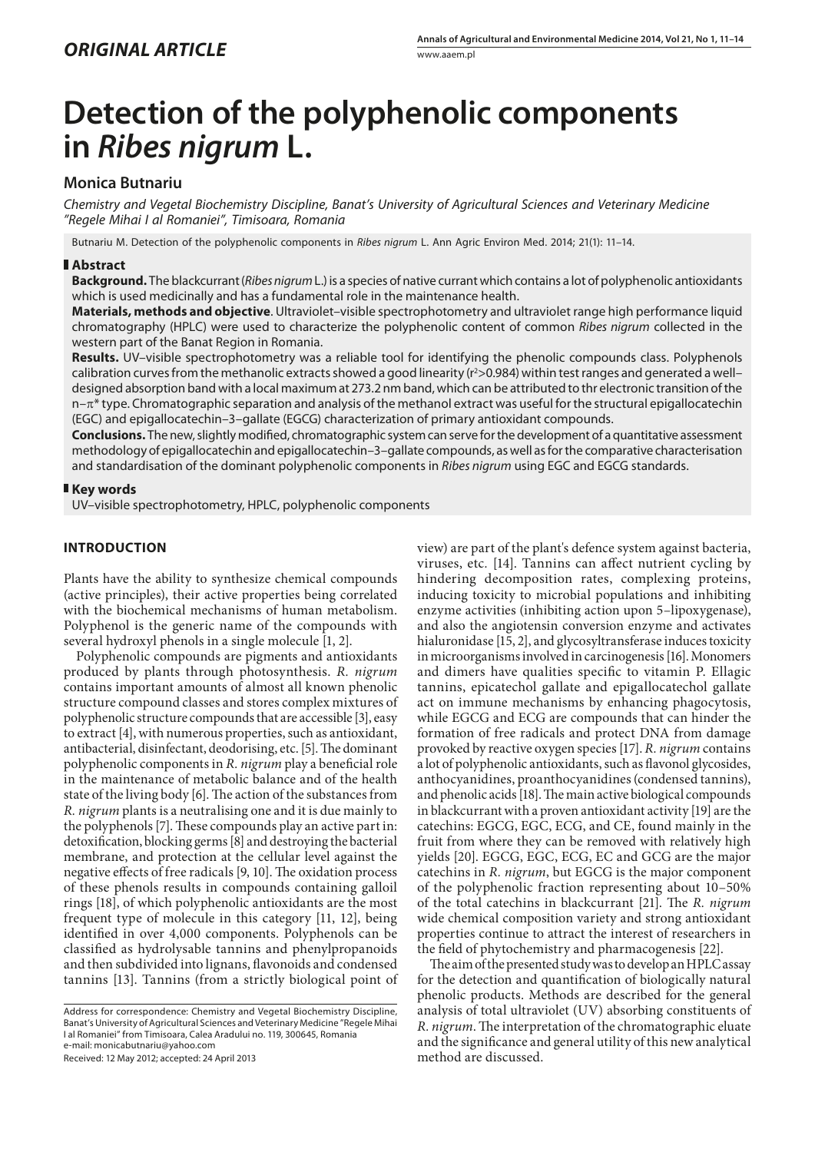# **Detection of the polyphenolic components in** *Ribes nigrum* **L.**

# **Monica Butnariu**

*Chemistry and Vegetal Biochemistry Discipline, Banat's University of Agricultural Sciences and Veterinary Medicine "Regele Mihai I al Romaniei", Timisoara, Romania*

Butnariu M. Detection of the polyphenolic components in *Ribes nigrum* L. Ann Agric Environ Med. 2014; 21(1): 11–14.

## **Abstract**

**Background.** The blackcurrant(*Ribes nigrum* L.) is a species of native currant which contains a lot of polyphenolic antioxidants which is used medicinally and has a fundamental role in the maintenance health.

**Materials, methods and objective**. Ultraviolet–visible spectrophotometry and ultraviolet range high performance liquid chromatography (HPLC) were used to characterize the polyphenolic content of common *Ribes nigrum* collected in the western part of the Banat Region in Romania.

**Results.** UV–visible spectrophotometry was a reliable tool for identifying the phenolic compounds class. Polyphenols calibration curves from the methanolic extracts showed a good linearity (r<sup>2</sup>>0.984) within test ranges and generated a welldesigned absorption band with a local maximum at 273.2 nm band, which can be attributed to thr electronic transition of the  $n-\pi^*$  type. Chromatographic separation and analysis of the methanol extract was useful for the structural epigallocatechin (EGC) and epigallocatechin–3–gallate (EGCG) characterization of primary antioxidant compounds.

**Conclusions.** The new, slightly modified, chromatographic system can serve for the development of a quantitative assessment methodology of epigallocatechin and epigallocatechin–3–gallate compounds, as well as for the comparative characterisation and standardisation of the dominant polyphenolic components in *Ribes nigrum* using EGC and EGCG standards.

## **Key words**

UV–visible spectrophotometry, HPLC, polyphenolic components

# **INTRODUCTION**

Plants have the ability to synthesize chemical compounds (active principles), their active properties being correlated with the biochemical mechanisms of human metabolism. Polyphenol is the generic name of the compounds with several hydroxyl phenols in a single molecule [1, 2].

Polyphenolic compounds are pigments and antioxidants produced by plants through photosynthesis. *R. nigrum*  contains important amounts of almost all known phenolic structure compound classes and stores complex mixtures of polyphenolic structure compounds that are accessible [3], easy to extract [4], with numerous properties, such as antioxidant, antibacterial, disinfectant, deodorising, etc. [5]. The dominant polyphenolic components in *R. nigrum* play a beneficial role in the maintenance of metabolic balance and of the health state of the living body [6]. The action of the substances from *R. nigrum* plants is a neutralising one and it is due mainly to the polyphenols [7]. These compounds play an active part in: detoxification, blocking germs [8] and destroying the bacterial membrane, and protection at the cellular level against the negative effects of free radicals [9, 10]. The oxidation process of these phenols results in compounds containing galloil rings [18], of which polyphenolic antioxidants are the most frequent type of molecule in this category [11, 12], being identified in over 4,000 components. Polyphenols can be classified as hydrolysable tannins and phenylpropanoids and then subdivided into lignans, flavonoids and condensed tannins [13]. Tannins (from a strictly biological point of

Address for correspondence: Chemistry and Vegetal Biochemistry Discipline, Banat's University of Agricultural Sciences and Veterinary Medicine "Regele Mihai I al Romaniei" from Timisoara, Calea Aradului no. 119, 300645, Romania e-mail: monicabutnariu@yahoo.com

Received: 12 May 2012; accepted: 24 April 2013

view) are part of the plant's defence system against bacteria, viruses, etc*.* [14]. Tannins can affect nutrient cycling by hindering decomposition rates, complexing proteins, inducing toxicity to microbial populations and inhibiting enzyme activities (inhibiting action upon 5–lipoxygenase), and also the angiotensin conversion enzyme and activates hialuronidase [15, 2], and glycosyltransferase induces toxicity in microorganisms involved in carcinogenesis [16]. Monomers and dimers have qualities specific to vitamin P. Ellagic tannins, epicatechol gallate and epigallocatechol gallate act on immune mechanisms by enhancing phagocytosis, while EGCG and ECG are compounds that can hinder the formation of free radicals and protect DNA from damage provoked by reactive oxygen species [17]. *R. nigrum* contains a lot of polyphenolic antioxidants, such as flavonol glycosides, anthocyanidines, proanthocyanidines (condensed tannins), and phenolic acids [18]. The main active biological compounds in blackcurrant with a proven antioxidant activity [19] are the catechins: EGCG, EGC, ECG, and CE, found mainly in the fruit from where they can be removed with relatively high yields [20]. EGCG, EGC, ECG, EC and GCG are the major catechins in *R. nigrum*, but EGCG is the major component of the polyphenolic fraction representing about 10–50% of the total catechins in blackcurrant [21]. The *R. nigrum*  wide chemical composition variety and strong antioxidant properties continue to attract the interest of researchers in the field of phytochemistry and pharmacogenesis [22].

The aim of the presented study was to develop an HPLC assay for the detection and quantification of biologically natural phenolic products. Methods are described for the general analysis of total ultraviolet (UV) absorbing constituents of *R. nigrum*. The interpretation of the chromatographic eluate and the significance and general utility of this new analytical method are discussed.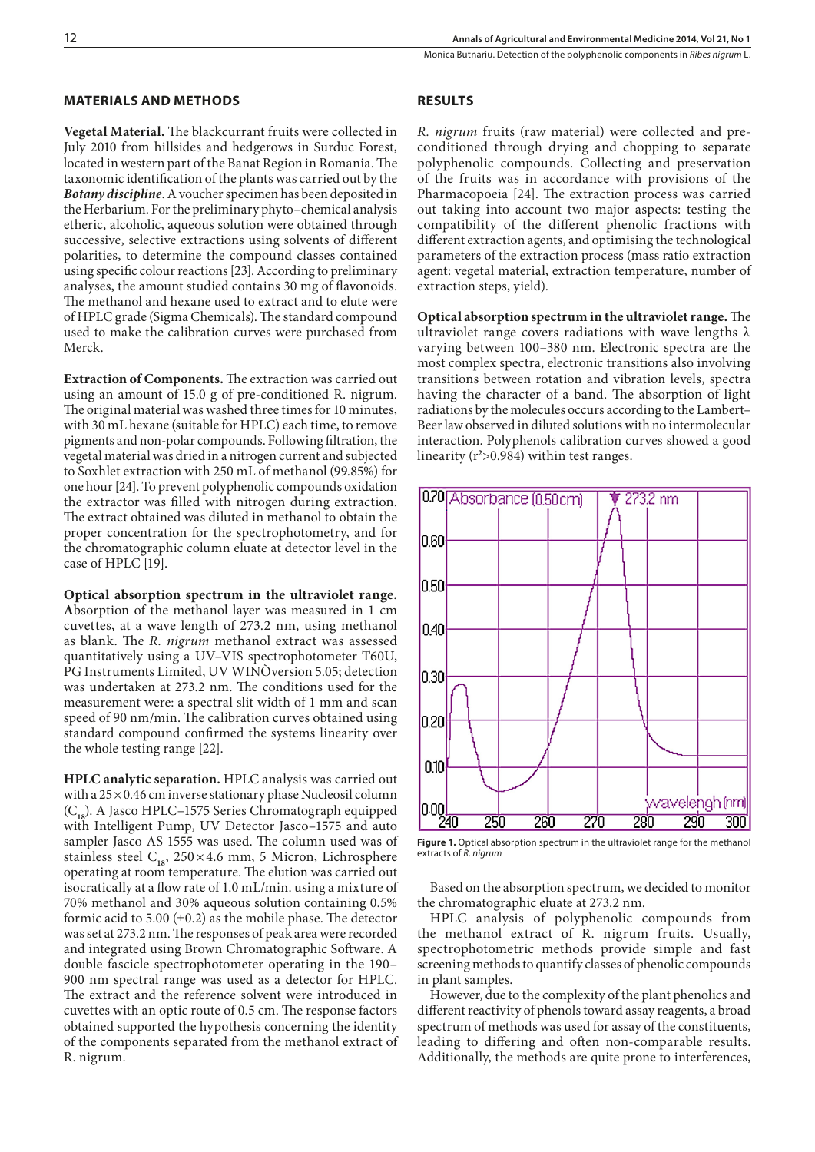# **MATERIALS AND METHODS**

**Vegetal Material.** The blackcurrant fruits were collected in July 2010 from hillsides and hedgerows in Surduc Forest, located in western part of the Banat Region in Romania. The taxonomic identification of the plants was carried out by the *Botany discipline*. A voucher specimen has been deposited in the Herbarium. For the preliminary phyto–chemical analysis etheric, alcoholic, aqueous solution were obtained through successive, selective extractions using solvents of different polarities, to determine the compound classes contained using specific colour reactions [23]. According to preliminary analyses, the amount studied contains 30 mg of flavonoids. The methanol and hexane used to extract and to elute were of HPLC grade (Sigma Chemicals). The standard compound used to make the calibration curves were purchased from Merck.

**Extraction of Components.** The extraction was carried out using an amount of 15.0 g of pre-conditioned R. nigrum. The original material was washed three times for 10 minutes, with 30 mL hexane (suitable for HPLC) each time, to remove pigments and non-polar compounds. Following filtration, the vegetal material was dried in a nitrogen current and subjected to Soxhlet extraction with 250 mL of methanol (99.85%) for one hour [24]. To prevent polyphenolic compounds oxidation the extractor was filled with nitrogen during extraction. The extract obtained was diluted in methanol to obtain the proper concentration for the spectrophotometry, and for the chromatographic column eluate at detector level in the case of HPLC [19].

**Optical absorption spectrum in the ultraviolet range.** 

**A**bsorption of the methanol layer was measured in 1 cm cuvettes, at a wave length of 273.2 nm, using methanol as blank. The *R. nigrum* methanol extract was assessed quantitatively using a UV–VIS spectrophotometer T60U, PG Instruments Limited, UV WINÒversion 5.05; detection was undertaken at 273.2 nm. The conditions used for the measurement were: a spectral slit width of 1 mm and scan speed of 90 nm/min. The calibration curves obtained using standard compound confirmed the systems linearity over the whole testing range [22].

**HPLC analytic separation.** HPLC analysis was carried out with a  $25 \times 0.46$  cm inverse stationary phase Nucleosil column (C<sub>19</sub>). A Jasco HPLC–1575 Series Chromatograph equipped with Intelligent Pump, UV Detector Jasco–1575 and auto sampler Jasco AS 1555 was used. The column used was of stainless steel  $C_{18}$ , 250×4.6 mm, 5 Micron, Lichrosphere operating at room temperature. The elution was carried out isocratically at a flow rate of 1.0 mL/min. using a mixture of 70% methanol and 30% aqueous solution containing 0.5% formic acid to 5.00  $(\pm 0.2)$  as the mobile phase. The detector was set at 273.2 nm. The responses of peak area were recorded and integrated using Brown Chromatographic Software. A double fascicle spectrophotometer operating in the 190– 900 nm spectral range was used as a detector for HPLC. The extract and the reference solvent were introduced in cuvettes with an optic route of 0.5 cm. The response factors obtained supported the hypothesis concerning the identity of the components separated from the methanol extract of R. nigrum.

# **RESULTS**

*R. nigrum* fruits (raw material) were collected and preconditioned through drying and chopping to separate polyphenolic compounds. Collecting and preservation of the fruits was in accordance with provisions of the Pharmacopoeia [24]. The extraction process was carried out taking into account two major aspects: testing the compatibility of the different phenolic fractions with different extraction agents, and optimising the technological parameters of the extraction process (mass ratio extraction agent: vegetal material, extraction temperature, number of extraction steps, yield).

**Optical absorption spectrum in the ultraviolet range.** The ultraviolet range covers radiations with wave lengths  $\lambda$ varying between 100–380 nm. Electronic spectra are the most complex spectra, electronic transitions also involving transitions between rotation and vibration levels, spectra having the character of a band. The absorption of light radiations by the molecules occurs according to the Lambert– Beer law observed in diluted solutions with no intermolecular interaction. Polyphenols calibration curves showed a good linearity (r**<sup>2</sup>** >0.984) within test ranges.



Figure 1. Optical absorption spectrum in the ultraviolet range for the methanol extracts of *R. nigrum*

Based on the absorption spectrum, we decided to monitor the chromatographic eluate at 273.2 nm.

HPLC analysis of polyphenolic compounds from the methanol extract of R. nigrum fruits. Usually, spectrophotometric methods provide simple and fast screening methods to quantify classes of phenolic compounds in plant samples.

However, due to the complexity of the plant phenolics and different reactivity of phenols toward assay reagents, a broad spectrum of methods was used for assay of the constituents, leading to differing and often non-comparable results. Additionally, the methods are quite prone to interferences,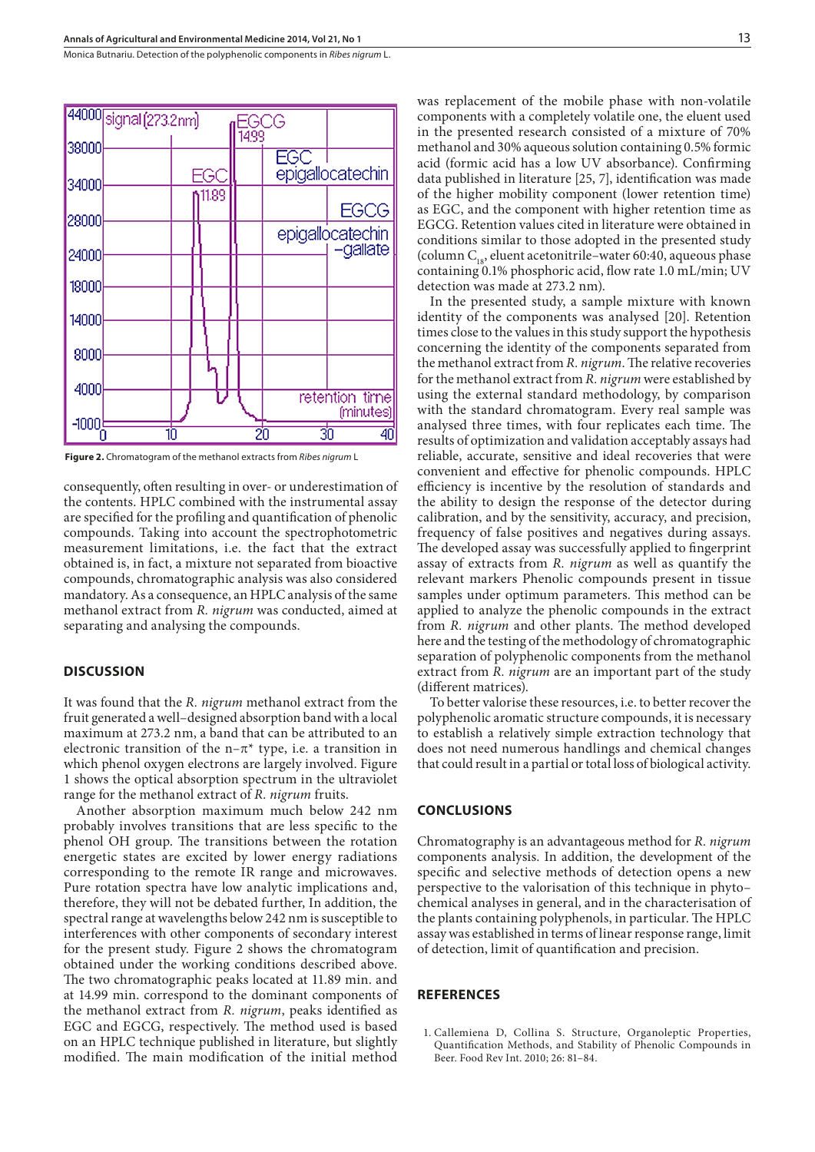Monica Butnariu . Detection of the polyphenolic components in *Ribes nigrum* L.



**Figure 2.** Chromatogram of the methanol extracts from *Ribes nigrum* L

consequently, often resulting in over- or underestimation of the contents. HPLC combined with the instrumental assay are specified for the profiling and quantification of phenolic compounds. Taking into account the spectrophotometric measurement limitations, i.e. the fact that the extract obtained is, in fact, a mixture not separated from bioactive compounds, chromatographic analysis was also considered mandatory. As a consequence, an HPLC analysis of the same methanol extract from *R. nigrum* was conducted, aimed at separating and analysing the compounds.

## **DISCUSSION**

It was found that the *R. nigrum* methanol extract from the fruit generated a well–designed absorption band with a local maximum at 273.2 nm, a band that can be attributed to an electronic transition of the  $n-\pi^*$  type, i.e. a transition in which phenol oxygen electrons are largely involved. Figure 1 shows the optical absorption spectrum in the ultraviolet range for the methanol extract of *R. nigrum* fruits.

Another absorption maximum much below 242 nm probably involves transitions that are less specific to the phenol OH group. The transitions between the rotation energetic states are excited by lower energy radiations corresponding to the remote IR range and microwaves. Pure rotation spectra have low analytic implications and, therefore, they will not be debated further, In addition, the spectral range at wavelengths below 242 nm is susceptible to interferences with other components of secondary interest for the present study. Figure 2 shows the chromatogram obtained under the working conditions described above. The two chromatographic peaks located at 11.89 min. and at 14.99 min. correspond to the dominant components of the methanol extract from *R. nigrum*, peaks identified as EGC and EGCG, respectively. The method used is based on an HPLC technique published in literature, but slightly modified. The main modification of the initial method

was replacement of the mobile phase with non-volatile components with a completely volatile one, the eluent used in the presented research consisted of a mixture of 70% methanol and 30% aqueous solution containing 0.5% formic acid (formic acid has a low UV absorbance). Confirming data published in literature [25, 7], identification was made of the higher mobility component (lower retention time) as EGC, and the component with higher retention time as EGCG. Retention values cited in literature were obtained in conditions similar to those adopted in the presented study (column  $C_{18}$ , eluent acetonitrile–water 60:40, aqueous phase containing 0.1% phosphoric acid, flow rate 1.0 mL/min; UV detection was made at 273.2 nm).

In the presented study, a sample mixture with known identity of the components was analysed [20]. Retention times close to the values in this study support the hypothesis concerning the identity of the components separated from the methanol extract from *R. nigrum*. The relative recoveries for the methanol extract from *R. nigrum* were established by using the external standard methodology, by comparison with the standard chromatogram. Every real sample was analysed three times, with four replicates each time. The results of optimization and validation acceptably assays had reliable, accurate, sensitive and ideal recoveries that were convenient and effective for phenolic compounds. HPLC efficiency is incentive by the resolution of standards and the ability to design the response of the detector during calibration, and by the sensitivity, accuracy, and precision, frequency of false positives and negatives during assays. The developed assay was successfully applied to fingerprint assay of extracts from *R. nigrum* as well as quantify the relevant markers Phenolic compounds present in tissue samples under optimum parameters. This method can be applied to analyze the phenolic compounds in the extract from *R. nigrum* and other plants. The method developed here and the testing of the methodology of chromatographic separation of polyphenolic components from the methanol extract from *R. nigrum* are an important part of the study (different matrices).

To better valorise these resources, i.e. to better recover the polyphenolic aromatic structure compounds, it is necessary to establish a relatively simple extraction technology that does not need numerous handlings and chemical changes that could result in a partial or total loss of biological activity.

#### **CONCLUSIONS**

Chromatography is an advantageous method for *R. nigrum*  components analysis. In addition, the development of the specific and selective methods of detection opens a new perspective to the valorisation of this technique in phyto– chemical analyses in general, and in the characterisation of the plants containing polyphenols, in particular. The HPLC assay was established in terms of linear response range, limit of detection, limit of quantification and precision.

## **REFERENCES**

1. Callemiena D, Collina S. Structure, Organoleptic Properties, Quantification Methods, and Stability of Phenolic Compounds in Beer. Food Rev Int. 2010; 26: 81–84.